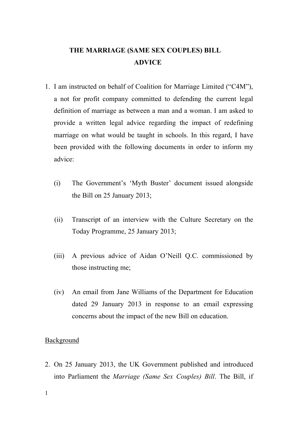# **THE MARRIAGE (SAME SEX COUPLES) BILL ADVICE**

- 1. I am instructed on behalf of Coalition for Marriage Limited ("C4M"), a not for profit company committed to defending the current legal definition of marriage as between a man and a woman. I am asked to provide a written legal advice regarding the impact of redefining marriage on what would be taught in schools. In this regard, I have been provided with the following documents in order to inform my advice:
	- (i) The Government's 'Myth Buster' document issued alongside the Bill on 25 January 2013;
	- (ii) Transcript of an interview with the Culture Secretary on the Today Programme, 25 January 2013;
	- (iii) A previous advice of Aidan O'Neill Q.C. commissioned by those instructing me;
	- (iv) An email from Jane Williams of the Department for Education dated 29 January 2013 in response to an email expressing concerns about the impact of the new Bill on education.

### Background

2. On 25 January 2013, the UK Government published and introduced into Parliament the *Marriage (Same Sex Couples) Bill*. The Bill, if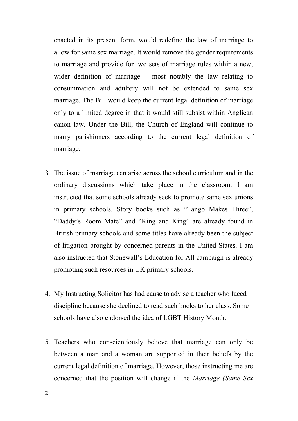enacted in its present form, would redefine the law of marriage to allow for same sex marriage. It would remove the gender requirements to marriage and provide for two sets of marriage rules within a new, wider definition of marriage – most notably the law relating to consummation and adultery will not be extended to same sex marriage. The Bill would keep the current legal definition of marriage only to a limited degree in that it would still subsist within Anglican canon law. Under the Bill, the Church of England will continue to marry parishioners according to the current legal definition of marriage.

- 3. The issue of marriage can arise across the school curriculum and in the ordinary discussions which take place in the classroom. I am instructed that some schools already seek to promote same sex unions in primary schools. Story books such as "Tango Makes Three", "Daddy's Room Mate" and "King and King" are already found in British primary schools and some titles have already been the subject of litigation brought by concerned parents in the United States. I am also instructed that Stonewall's Education for All campaign is already promoting such resources in UK primary schools.
- 4. My Instructing Solicitor has had cause to advise a teacher who faced discipline because she declined to read such books to her class. Some schools have also endorsed the idea of LGBT History Month.
- 5. Teachers who conscientiously believe that marriage can only be between a man and a woman are supported in their beliefs by the current legal definition of marriage. However, those instructing me are concerned that the position will change if the *Marriage (Same Sex*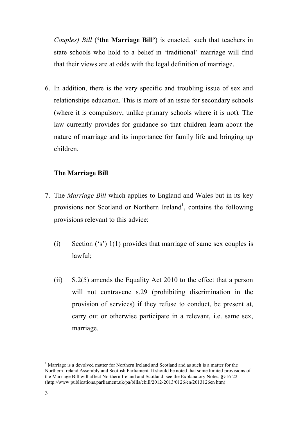*Couples) Bill* (**'the Marriage Bill'**) is enacted, such that teachers in state schools who hold to a belief in 'traditional' marriage will find that their views are at odds with the legal definition of marriage.

6. In addition, there is the very specific and troubling issue of sex and relationships education. This is more of an issue for secondary schools (where it is compulsory, unlike primary schools where it is not). The law currently provides for guidance so that children learn about the nature of marriage and its importance for family life and bringing up children.

## **The Marriage Bill**

- 7. The *Marriage Bill* which applies to England and Wales but in its key provisions not Scotland or Northern Ireland<sup>1</sup>, contains the following provisions relevant to this advice:
	- (i) Section ('s') 1(1) provides that marriage of same sex couples is lawful;
	- (ii) S.2(5) amends the Equality Act 2010 to the effect that a person will not contravene s.29 (prohibiting discrimination in the provision of services) if they refuse to conduct, be present at, carry out or otherwise participate in a relevant, i.e. same sex, marriage.

 $\frac{1}{1}$ <sup>1</sup> Marriage is a devolved matter for Northern Ireland and Scotland and as such is a matter for the Northern Ireland Assembly and Scottish Parliament. It should be noted that some limited provisions of the Marriage Bill will affect Northern Ireland and Scotland: see the Explanatory Notes, §§16-22 (http://www.publications.parliament.uk/pa/bills/cbill/2012-2013/0126/en/2013126en htm)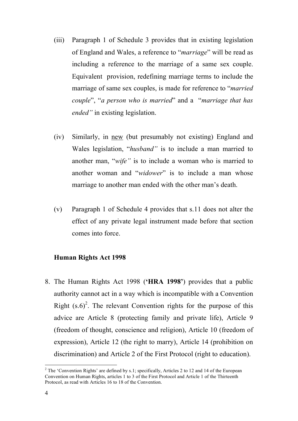- (iii) Paragraph 1 of Schedule 3 provides that in existing legislation of England and Wales, a reference to "*marriage*" will be read as including a reference to the marriage of a same sex couple. Equivalent provision, redefining marriage terms to include the marriage of same sex couples, is made for reference to "*married couple*", "*a person who is married*" and a "*marriage that has ended"* in existing legislation.
- (iv) Similarly, in new (but presumably not existing) England and Wales legislation, "*husband"* is to include a man married to another man, "*wife"* is to include a woman who is married to another woman and "*widower*" is to include a man whose marriage to another man ended with the other man's death.
- (v) Paragraph 1 of Schedule 4 provides that s.11 does not alter the effect of any private legal instrument made before that section comes into force.

### **Human Rights Act 1998**

8. The Human Rights Act 1998 (**'HRA 1998'**) provides that a public authority cannot act in a way which is incompatible with a Convention Right  $(s.6)^2$ . The relevant Convention rights for the purpose of this advice are Article 8 (protecting family and private life), Article 9 (freedom of thought, conscience and religion), Article 10 (freedom of expression), Article 12 (the right to marry), Article 14 (prohibition on discrimination) and Article 2 of the First Protocol (right to education).

 $\frac{1}{2}$ <sup>2</sup> The 'Convention Rights' are defined by s.1; specifically, Articles 2 to 12 and 14 of the European Convention on Human Rights, articles 1 to 3 of the First Protocol and Article 1 of the Thirteenth Protocol, as read with Articles 16 to 18 of the Convention.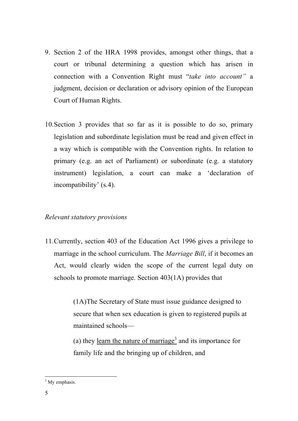- 9. Section 2 of the HRA 1998 provides, amongst other things, that a court or tribunal determining a question which has arisen in connection with a Convention Right must "*take into account"* a judgment, decision or declaration or advisory opinion of the European Court of Human Rights.
- 10.Section 3 provides that so far as it is possible to do so, primary legislation and subordinate legislation must be read and given effect in a way which is compatible with the Convention rights. In relation to primary (e.g. an act of Parliament) or subordinate (e.g. a statutory instrument) legislation, a court can make a 'declaration of incompatibility' (s.4).

## *Relevant statutory provisions*

11.Currently, section 403 of the Education Act 1996 gives a privilege to marriage in the school curriculum. The *Marriage Bill*, if it becomes an Act, would clearly widen the scope of the current legal duty on schools to promote marriage. Section 403(1A) provides that

> (1A)The Secretary of State must issue guidance designed to secure that when sex education is given to registered pupils at maintained schools—

(a) they learn the nature of marriage<sup>3</sup> and its importance for family life and the bringing up of children, and

 $3$  My emphasis.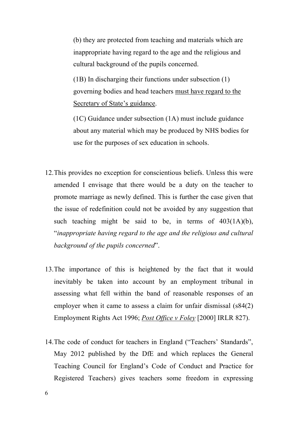(b) they are protected from teaching and materials which are inappropriate having regard to the age and the religious and cultural background of the pupils concerned.

(1B) In discharging their functions under subsection (1) governing bodies and head teachers must have regard to the Secretary of State's guidance.

(1C) Guidance under subsection (1A) must include guidance about any material which may be produced by NHS bodies for use for the purposes of sex education in schools.

- 12.This provides no exception for conscientious beliefs. Unless this were amended I envisage that there would be a duty on the teacher to promote marriage as newly defined. This is further the case given that the issue of redefinition could not be avoided by any suggestion that such teaching might be said to be, in terms of  $403(1A)(b)$ , "*inappropriate having regard to the age and the religious and cultural background of the pupils concerned*".
- 13.The importance of this is heightened by the fact that it would inevitably be taken into account by an employment tribunal in assessing what fell within the band of reasonable responses of an employer when it came to assess a claim for unfair dismissal (s84(2) Employment Rights Act 1996; *Post Office v Foley* [2000] IRLR 827).
- 14.The code of conduct for teachers in England ("Teachers' Standards", May 2012 published by the DfE and which replaces the General Teaching Council for England's Code of Conduct and Practice for Registered Teachers) gives teachers some freedom in expressing

6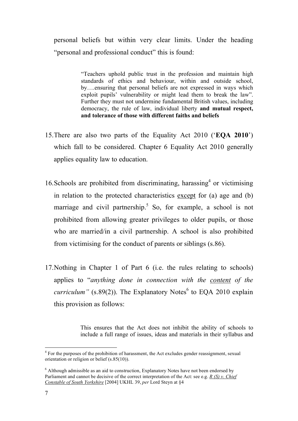personal beliefs but within very clear limits. Under the heading "personal and professional conduct" this is found:

> "Teachers uphold public trust in the profession and maintain high standards of ethics and behaviour, within and outside school, by….ensuring that personal beliefs are not expressed in ways which exploit pupils' vulnerability or might lead them to break the law". Further they must not undermine fundamental British values, including democracy, the rule of law, individual liberty **and mutual respect, and tolerance of those with different faiths and beliefs**

- 15.There are also two parts of the Equality Act 2010 ('**EQA 2010**') which fall to be considered. Chapter 6 Equality Act 2010 generally applies equality law to education.
- 16. Schools are prohibited from discriminating, harassing  $4$  or victimising in relation to the protected characteristics except for (a) age and (b) marriage and civil partnership.<sup>5</sup> So, for example, a school is not prohibited from allowing greater privileges to older pupils, or those who are married/in a civil partnership. A school is also prohibited from victimising for the conduct of parents or siblings (s.86).
- 17.Nothing in Chapter 1 of Part 6 (i.e. the rules relating to schools) applies to "*anything done in connection with the content of the curriculum*" (s.89(2)). The Explanatory Notes<sup>6</sup> to EQA 2010 explain this provision as follows:

This ensures that the Act does not inhibit the ability of schools to include a full range of issues, ideas and materials in their syllabus and

 $\frac{1}{4}$  $4$  For the purposes of the prohibition of harassment, the Act excludes gender reassignment, sexual orientation or religion or belief (s.85(10)).

 $6$  Although admissible as an aid to construction, Explanatory Notes have not been endorsed by Parliament and cannot be decisive of the correct interpretation of the Act: see e.g. *R (S) v. Chief Constable of South Yorkshire* [2004] UKHL 39, *per* Lord Steyn at §4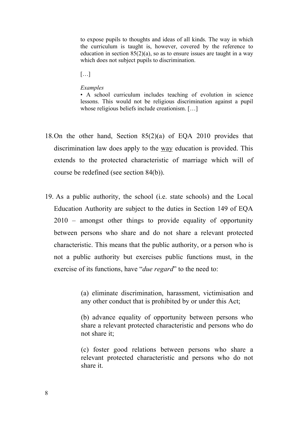to expose pupils to thoughts and ideas of all kinds. The way in which the curriculum is taught is, however, covered by the reference to education in section  $85(2)(a)$ , so as to ensure issues are taught in a way which does not subject pupils to discrimination.

 $[\ldots]$ 

#### *Examples*

• A school curriculum includes teaching of evolution in science lessons. This would not be religious discrimination against a pupil whose religious beliefs include creationism. [...]

- 18.On the other hand, Section 85(2)(a) of EQA 2010 provides that discrimination law does apply to the way education is provided. This extends to the protected characteristic of marriage which will of course be redefined (see section 84(b)).
- 19. As a public authority, the school (i.e. state schools) and the Local Education Authority are subject to the duties in Section 149 of EQA 2010 – amongst other things to provide equality of opportunity between persons who share and do not share a relevant protected characteristic. This means that the public authority, or a person who is not a public authority but exercises public functions must, in the exercise of its functions, have "*due regard*" to the need to:

(a) eliminate discrimination, harassment, victimisation and any other conduct that is prohibited by or under this Act;

(b) advance equality of opportunity between persons who share a relevant protected characteristic and persons who do not share it;

(c) foster good relations between persons who share a relevant protected characteristic and persons who do not share it.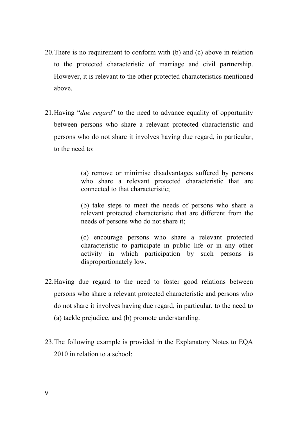- 20.There is no requirement to conform with (b) and (c) above in relation to the protected characteristic of marriage and civil partnership. However, it is relevant to the other protected characteristics mentioned above.
- 21.Having "*due regard*" to the need to advance equality of opportunity between persons who share a relevant protected characteristic and persons who do not share it involves having due regard, in particular, to the need to:

(a) remove or minimise disadvantages suffered by persons who share a relevant protected characteristic that are connected to that characteristic;

(b) take steps to meet the needs of persons who share a relevant protected characteristic that are different from the needs of persons who do not share it;

(c) encourage persons who share a relevant protected characteristic to participate in public life or in any other activity in which participation by such persons is disproportionately low.

- 22.Having due regard to the need to foster good relations between persons who share a relevant protected characteristic and persons who do not share it involves having due regard, in particular, to the need to (a) tackle prejudice, and (b) promote understanding.
- 23.The following example is provided in the Explanatory Notes to EQA 2010 in relation to a school: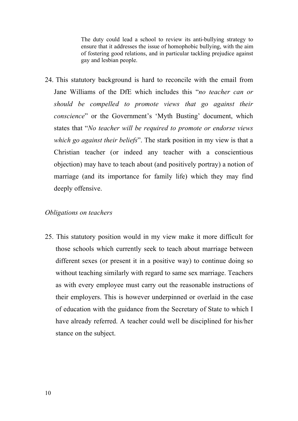The duty could lead a school to review its anti-bullying strategy to ensure that it addresses the issue of homophobic bullying, with the aim of fostering good relations, and in particular tackling prejudice against gay and lesbian people.

24. This statutory background is hard to reconcile with the email from Jane Williams of the DfE which includes this "*no teacher can or should be compelled to promote views that go against their conscience*" or the Government's 'Myth Busting' document, which states that "*No teacher will be required to promote or endorse views which go against their beliefs*". The stark position in my view is that a Christian teacher (or indeed any teacher with a conscientious objection) may have to teach about (and positively portray) a notion of marriage (and its importance for family life) which they may find deeply offensive.

#### *Obligations on teachers*

25. This statutory position would in my view make it more difficult for those schools which currently seek to teach about marriage between different sexes (or present it in a positive way) to continue doing so without teaching similarly with regard to same sex marriage. Teachers as with every employee must carry out the reasonable instructions of their employers. This is however underpinned or overlaid in the case of education with the guidance from the Secretary of State to which I have already referred. A teacher could well be disciplined for his/her stance on the subject.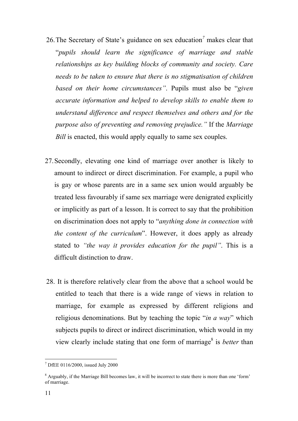- 26.The Secretary of State's guidance on sex education*<sup>7</sup>* makes clear that "*pupils should learn the significance of marriage and stable relationships as key building blocks of community and society. Care needs to be taken to ensure that there is no stigmatisation of children based on their home circumstances"*. Pupils must also be "*given accurate information and helped to develop skills to enable them to understand difference and respect themselves and others and for the purpose also of preventing and removing prejudice."* If the *Marriage Bill* is enacted, this would apply equally to same sex couples.
- 27.Secondly, elevating one kind of marriage over another is likely to amount to indirect or direct discrimination. For example, a pupil who is gay or whose parents are in a same sex union would arguably be treated less favourably if same sex marriage were denigrated explicitly or implicitly as part of a lesson. It is correct to say that the prohibition on discrimination does not apply to "*anything done in connection with the content of the curriculum*". However, it does apply as already stated to *"the way it provides education for the pupil"*. This is a difficult distinction to draw.
- 28. It is therefore relatively clear from the above that a school would be entitled to teach that there is a wide range of views in relation to marriage, for example as expressed by different religions and religious denominations. But by teaching the topic "*in a way*" which subjects pupils to direct or indirect discrimination, which would in my view clearly include stating that one form of marriage<sup>8</sup> is *better* than

 <sup>7</sup> DfEE 0116/2000, issued July 2000

 $8$  Arguably, if the Marriage Bill becomes law, it will be incorrect to state there is more than one 'form' of marriage.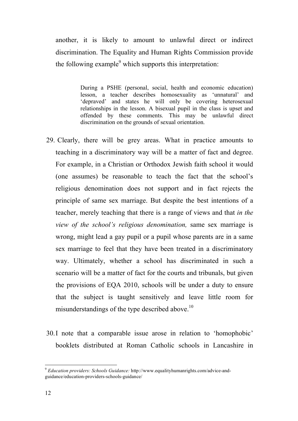another, it is likely to amount to unlawful direct or indirect discrimination. The Equality and Human Rights Commission provide the following example<sup>9</sup> which supports this interpretation:

> During a PSHE (personal, social, health and economic education) lesson, a teacher describes homosexuality as 'unnatural' and 'depraved' and states he will only be covering heterosexual relationships in the lesson. A bisexual pupil in the class is upset and offended by these comments. This may be unlawful direct discrimination on the grounds of sexual orientation.

- 29. Clearly, there will be grey areas. What in practice amounts to teaching in a discriminatory way will be a matter of fact and degree. For example, in a Christian or Orthodox Jewish faith school it would (one assumes) be reasonable to teach the fact that the school's religious denomination does not support and in fact rejects the principle of same sex marriage. But despite the best intentions of a teacher, merely teaching that there is a range of views and that *in the view of the school's religious denomination,* same sex marriage is wrong, might lead a gay pupil or a pupil whose parents are in a same sex marriage to feel that they have been treated in a discriminatory way. Ultimately, whether a school has discriminated in such a scenario will be a matter of fact for the courts and tribunals, but given the provisions of EQA 2010, schools will be under a duty to ensure that the subject is taught sensitively and leave little room for misunderstandings of the type described above.<sup>10</sup>
- 30.I note that a comparable issue arose in relation to 'homophobic' booklets distributed at Roman Catholic schools in Lancashire in

 <sup>9</sup> *Education providers: Schools Guidance:* http://www.equalityhumanrights.com/advice-andguidance/education-providers-schools-guidance/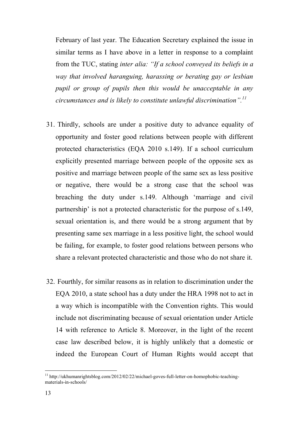February of last year. The Education Secretary explained the issue in similar terms as I have above in a letter in response to a complaint from the TUC, stating *inter alia: "If a school conveyed its beliefs in a way that involved haranguing, harassing or berating gay or lesbian pupil or group of pupils then this would be unacceptable in any circumstances and is likely to constitute unlawful discrimination".11*

- 31. Thirdly, schools are under a positive duty to advance equality of opportunity and foster good relations between people with different protected characteristics (EQA 2010 s.149). If a school curriculum explicitly presented marriage between people of the opposite sex as positive and marriage between people of the same sex as less positive or negative, there would be a strong case that the school was breaching the duty under s.149. Although 'marriage and civil partnership' is not a protected characteristic for the purpose of s.149, sexual orientation is, and there would be a strong argument that by presenting same sex marriage in a less positive light, the school would be failing, for example, to foster good relations between persons who share a relevant protected characteristic and those who do not share it.
- 32. Fourthly, for similar reasons as in relation to discrimination under the EQA 2010, a state school has a duty under the HRA 1998 not to act in a way which is incompatible with the Convention rights. This would include not discriminating because of sexual orientation under Article 14 with reference to Article 8. Moreover, in the light of the recent case law described below, it is highly unlikely that a domestic or indeed the European Court of Human Rights would accept that

<sup>&</sup>lt;sup>11</sup> http://ukhumanrightsblog.com/2012/02/22/michael-goves-full-letter-on-homophobic-teachingmaterials-in-schools/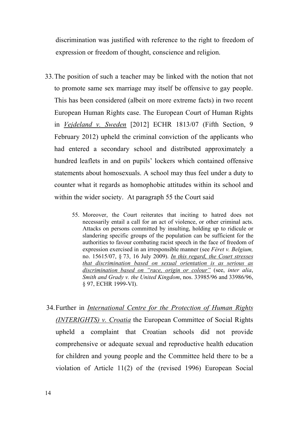discrimination was justified with reference to the right to freedom of expression or freedom of thought, conscience and religion.

- 33.The position of such a teacher may be linked with the notion that not to promote same sex marriage may itself be offensive to gay people. This has been considered (albeit on more extreme facts) in two recent European Human Rights case. The European Court of Human Rights in *Vejdeland v. Sweden* [2012] ECHR 1813/07 (Fifth Section, 9 February 2012) upheld the criminal conviction of the applicants who had entered a secondary school and distributed approximately a hundred leaflets in and on pupils' lockers which contained offensive statements about homosexuals. A school may thus feel under a duty to counter what it regards as homophobic attitudes within its school and within the wider society. At paragraph 55 the Court said
	- 55. Moreover, the Court reiterates that inciting to hatred does not necessarily entail a call for an act of violence, or other criminal acts. Attacks on persons committed by insulting, holding up to ridicule or slandering specific groups of the population can be sufficient for the authorities to favour combating racist speech in the face of freedom of expression exercised in an irresponsible manner (see *Féret v. Belgium,*  no. 15615/07, § 73, 16 July 2009). *In this regard, the Court stresses that discrimination based on sexual orientation is as serious as discrimination based on "race, origin or colour"* (see, *inter alia*, *Smith and Grady v. the United Kingdom*, nos. 33985/96 and 33986/96, § 97, ECHR 1999-VI).
- 34.Further in *International Centre for the Protection of Human Rights (INTERIGHTS) v. Croatia* the European Committee of Social Rights upheld a complaint that Croatian schools did not provide comprehensive or adequate sexual and reproductive health education for children and young people and the Committee held there to be a violation of Article 11(2) of the (revised 1996) European Social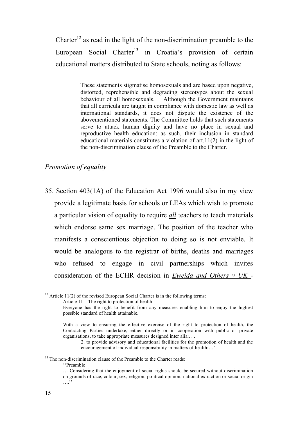Charter<sup>12</sup> as read in the light of the non-discrimination preamble to the European Social Charter<sup>13</sup> in Croatia's provision of certain educational matters distributed to State schools, noting as follows:

> These statements stigmatise homosexuals and are based upon negative, distorted, reprehensible and degrading stereotypes about the sexual behaviour of all homosexuals. Although the Government maintains that all curricula are taught in compliance with domestic law as well as international standards, it does not dispute the existence of the abovementioned statements. The Committee holds that such statements serve to attack human dignity and have no place in sexual and reproductive health education: as such, their inclusion in standard educational materials constitutes a violation of art.11(2) in the light of the non-discrimination clause of the Preamble to the Charter.

#### *Promotion of equality*

35. Section 403(1A) of the Education Act 1996 would also in my view provide a legitimate basis for schools or LEAs which wish to promote a particular vision of equality to require *all* teachers to teach materials which endorse same sex marriage. The position of the teacher who manifests a conscientious objection to doing so is not enviable. It would be analogous to the registrar of births, deaths and marriages who refused to engage in civil partnerships which invites consideration of the ECHR decision in *Eweida and Others v UK -*

''Preamble

<sup>&</sup>lt;sup>12</sup> Article 11(2) of the revised European Social Charter is in the following terms:

Article 11—The right to protection of health

Everyone has the right to benefit from any measures enabling him to enjoy the highest possible standard of health attainable.

With a view to ensuring the effective exercise of the right to protection of health, the Contracting Parties undertake, either directly or in cooperation with public or private organisations, to take appropriate measures designed inter alia:. . .

<sup>2.</sup> to provide advisory and educational facilities for the promotion of health and the encouragement of individual responsibility in matters of health;…'

<sup>&</sup>lt;sup>13</sup> The non-discrimination clause of the Preamble to the Charter reads:

<sup>…</sup> Considering that the enjoyment of social rights should be secured without discrimination on grounds of race, colour, sex, religion, political opinion, national extraction or social origin .<br>....<sup>'</sup>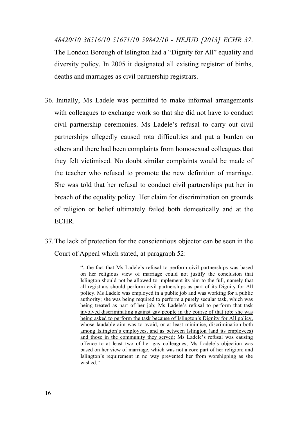*48420/10 36516/10 51671/10 59842/10 - HEJUD [2013] ECHR 37*. The London Borough of Islington had a "Dignity for All" equality and diversity policy. In 2005 it designated all existing registrar of births, deaths and marriages as civil partnership registrars.

- 36. Initially, Ms Ladele was permitted to make informal arrangements with colleagues to exchange work so that she did not have to conduct civil partnership ceremonies. Ms Ladele's refusal to carry out civil partnerships allegedly caused rota difficulties and put a burden on others and there had been complaints from homosexual colleagues that they felt victimised. No doubt similar complaints would be made of the teacher who refused to promote the new definition of marriage. She was told that her refusal to conduct civil partnerships put her in breach of the equality policy. Her claim for discrimination on grounds of religion or belief ultimately failed both domestically and at the ECHR.
- 37.The lack of protection for the conscientious objector can be seen in the Court of Appeal which stated, at paragraph 52:

"...the fact that Ms Ladele's refusal to perform civil partnerships was based on her religious view of marriage could not justify the conclusion that Islington should not be allowed to implement its aim to the full, namely that all registrars should perform civil partnerships as part of its Dignity for All policy. Ms Ladele was employed in a public job and was working for a public authority; she was being required to perform a purely secular task, which was being treated as part of her job; Ms Ladele's refusal to perform that task involved discriminating against gay people in the course of that job; she was being asked to perform the task because of Islington's Dignity for All policy, whose laudable aim was to avoid, or at least minimise, discrimination both among Islington's employees, and as between Islington (and its employees) and those in the community they served; Ms Ladele's refusal was causing offence to at least two of her gay colleagues; Ms Ladele's objection was based on her view of marriage, which was not a core part of her religion; and Islington's requirement in no way prevented her from worshipping as she wished."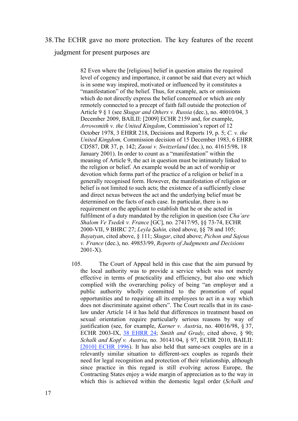## 38.The ECHR gave no more protection. The key features of the recent judgment for present purposes are

82 Even where the [religious] belief in question attains the required level of cogency and importance, it cannot be said that every act which is in some way inspired, motivated or influenced by it constitutes a "manifestation" of the belief. Thus, for example, acts or omissions which do not directly express the belief concerned or which are only remotely connected to a precept of faith fall outside the protection of Article 9 § 1 (see *Skugar and Others v. Russia* (dec.), no. 40010/04, 3 December 2009, BAILII: [2009] ECHR 2159 and, for example, *Arrowsmith v. the United Kingdom*, Commission's report of 12 October 1978, 3 EHRR 218, Decisions and Reports 19, p. 5; *C. v. the United Kingdom,* Commission decision of 15 December 1983, 6 EHRR CD587, DR 37, p. 142; *Zaoui v. Switzerland* (dec.), no. 41615/98, 18 January 2001). In order to count as a "manifestation" within the meaning of Article 9, the act in question must be intimately linked to the religion or belief. An example would be an act of worship or devotion which forms part of the practice of a religion or belief in a generally recognised form. However, the manifestation of religion or belief is not limited to such acts; the existence of a sufficiently close and direct nexus between the act and the underlying belief must be determined on the facts of each case. In particular, there is no requirement on the applicant to establish that he or she acted in fulfilment of a duty mandated by the religion in question (see *Cha'are Shalom Ve Tsedek v. France* [GC], no. 27417/95, §§ 73-74, ECHR 2000-VII, 9 BHRC 27; *Leyla Şahin,* cited above, §§ 78 and 105; *Bayatyan*, cited above, § 111; *Skugar*, cited above; *Pichon and Sajous v. France* (dec.), no. 49853/99, *Reports of Judgments and Decisions* 2001-X).

105. The Court of Appeal held in this case that the aim pursued by the local authority was to provide a service which was not merely effective in terms of practicality and efficiency, but also one which complied with the overarching policy of being "an employer and a public authority wholly committed to the promotion of equal opportunities and to requiring all its employees to act in a way which does not discriminate against others". The Court recalls that in its caselaw under Article 14 it has held that differences in treatment based on sexual orientation require particularly serious reasons by way of justification (see, for example, *Karner v. Austria*, no. 40016/98, § 37, ECHR 2003-IX, 38 EHRR 24; *Smith and Grady*, cited above, § 90; *Schalk and Kopf v. Austria*, no. 30141/04, § 97, ECHR 2010, BAILII: [2010] ECHR 1996). It has also held that same-sex couples are in a relevantly similar situation to different-sex couples as regards their need for legal recognition and protection of their relationship, although since practice in this regard is still evolving across Europe, the Contracting States enjoy a wide margin of appreciation as to the way in which this is achieved within the domestic legal order (*Schalk and*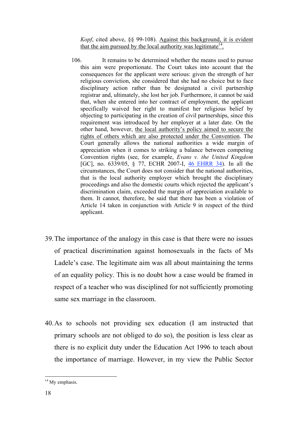*Kopf*, cited above, §§ 99-108). Against this background, it is evident that the aim pursued by the local authority was legitimate  $14$ .

- 106. It remains to be determined whether the means used to pursue this aim were proportionate. The Court takes into account that the consequences for the applicant were serious: given the strength of her religious conviction, she considered that she had no choice but to face disciplinary action rather than be designated a civil partnership registrar and, ultimately, she lost her job. Furthermore, it cannot be said that, when she entered into her contract of employment, the applicant specifically waived her right to manifest her religious belief by objecting to participating in the creation of civil partnerships, since this requirement was introduced by her employer at a later date. On the other hand, however, the local authority's policy aimed to secure the rights of others which are also protected under the Convention. The Court generally allows the national authorities a wide margin of appreciation when it comes to striking a balance between competing Convention rights (see, for example, *Evans v. the United Kingdom* [GC], no. 6339/05, § 77, ECHR 2007-I, 46 EHRR 34). In all the circumstances, the Court does not consider that the national authorities, that is the local authority employer which brought the disciplinary proceedings and also the domestic courts which rejected the applicant's discrimination claim, exceeded the margin of appreciation available to them. It cannot, therefore, be said that there has been a violation of Article 14 taken in conjunction with Article 9 in respect of the third applicant.
- 39.The importance of the analogy in this case is that there were no issues of practical discrimination against homosexuals in the facts of Ms Ladele's case. The legitimate aim was all about maintaining the terms of an equality policy. This is no doubt how a case would be framed in respect of a teacher who was disciplined for not sufficiently promoting same sex marriage in the classroom.
- 40.As to schools not providing sex education (I am instructed that primary schools are not obliged to do so), the position is less clear as there is no explicit duty under the Education Act 1996 to teach about the importance of marriage. However, in my view the Public Sector

<sup>&</sup>lt;sup>14</sup> My emphasis.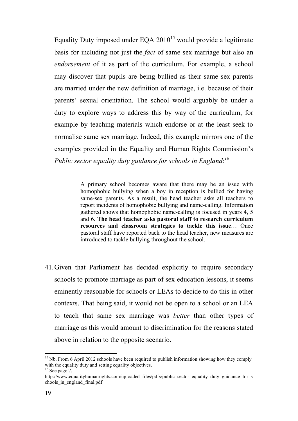Equality Duty imposed under EQA  $2010^{15}$  would provide a legitimate basis for including not just the *fact* of same sex marriage but also an *endorsement* of it as part of the curriculum. For example, a school may discover that pupils are being bullied as their same sex parents are married under the new definition of marriage, i.e. because of their parents' sexual orientation. The school would arguably be under a duty to explore ways to address this by way of the curriculum, for example by teaching materials which endorse or at the least seek to normalise same sex marriage. Indeed, this example mirrors one of the examples provided in the Equality and Human Rights Commission's *Public sector equality duty guidance for schools in England*: *16*

> A primary school becomes aware that there may be an issue with homophobic bullying when a boy in reception is bullied for having same-sex parents. As a result, the head teacher asks all teachers to report incidents of homophobic bullying and name-calling. Information gathered shows that homophobic name-calling is focused in years 4, 5 and 6. **The head teacher asks pastoral staff to research curriculum resources and classroom strategies to tackle this issue**… Once pastoral staff have reported back to the head teacher, new measures are introduced to tackle bullying throughout the school.

41.Given that Parliament has decided explicitly to require secondary schools to promote marriage as part of sex education lessons, it seems eminently reasonable for schools or LEAs to decide to do this in other contexts. That being said, it would not be open to a school or an LEA to teach that same sex marriage was *better* than other types of marriage as this would amount to discrimination for the reasons stated above in relation to the opposite scenario.

<sup>&</sup>lt;sup>15</sup> Nb. From 6 April 2012 schools have been required to publish information showing how they comply with the equality duty and setting equality objectives.  $^{16}$  See page 7,

http://www.equalityhumanrights.com/uploaded\_files/pdfs/public\_sector\_equality\_duty\_guidance\_for\_s chools\_in\_england\_final.pdf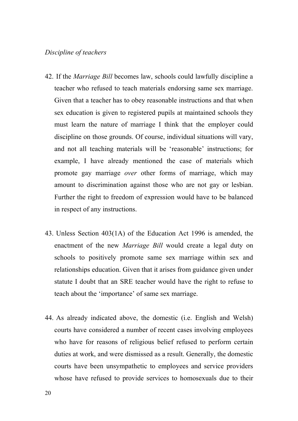#### *Discipline of teachers*

- 42. If the *Marriage Bill* becomes law, schools could lawfully discipline a teacher who refused to teach materials endorsing same sex marriage. Given that a teacher has to obey reasonable instructions and that when sex education is given to registered pupils at maintained schools they must learn the nature of marriage I think that the employer could discipline on those grounds. Of course, individual situations will vary, and not all teaching materials will be 'reasonable' instructions; for example, I have already mentioned the case of materials which promote gay marriage *over* other forms of marriage, which may amount to discrimination against those who are not gay or lesbian. Further the right to freedom of expression would have to be balanced in respect of any instructions.
- 43. Unless Section 403(1A) of the Education Act 1996 is amended, the enactment of the new *Marriage Bill* would create a legal duty on schools to positively promote same sex marriage within sex and relationships education. Given that it arises from guidance given under statute I doubt that an SRE teacher would have the right to refuse to teach about the 'importance' of same sex marriage.
- 44. As already indicated above, the domestic (i.e. English and Welsh) courts have considered a number of recent cases involving employees who have for reasons of religious belief refused to perform certain duties at work, and were dismissed as a result. Generally, the domestic courts have been unsympathetic to employees and service providers whose have refused to provide services to homosexuals due to their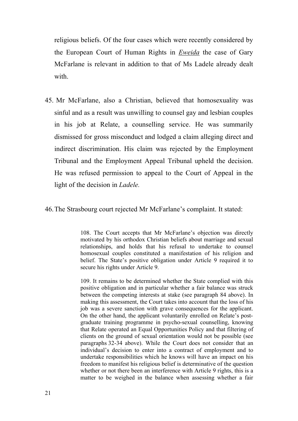religious beliefs. Of the four cases which were recently considered by the European Court of Human Rights in *Eweida* the case of Gary McFarlane is relevant in addition to that of Ms Ladele already dealt with.

45. Mr McFarlane, also a Christian, believed that homosexuality was sinful and as a result was unwilling to counsel gay and lesbian couples in his job at Relate, a counselling service. He was summarily dismissed for gross misconduct and lodged a claim alleging direct and indirect discrimination. His claim was rejected by the Employment Tribunal and the Employment Appeal Tribunal upheld the decision. He was refused permission to appeal to the Court of Appeal in the light of the decision in *Ladele.* 

#### 46.The Strasbourg court rejected Mr McFarlane's complaint. It stated:

108. The Court accepts that Mr McFarlane's objection was directly motivated by his orthodox Christian beliefs about marriage and sexual relationships, and holds that his refusal to undertake to counsel homosexual couples constituted a manifestation of his religion and belief. The State's positive obligation under Article 9 required it to secure his rights under Article 9.

109. It remains to be determined whether the State complied with this positive obligation and in particular whether a fair balance was struck between the competing interests at stake (see paragraph 84 above). In making this assessment, the Court takes into account that the loss of his job was a severe sanction with grave consequences for the applicant. On the other hand, the applicant voluntarily enrolled on Relate's postgraduate training programme in psycho-sexual counselling, knowing that Relate operated an Equal Opportunities Policy and that filtering of clients on the ground of sexual orientation would not be possible (see paragraphs 32-34 above). While the Court does not consider that an individual's decision to enter into a contract of employment and to undertake responsibilities which he knows will have an impact on his freedom to manifest his religious belief is determinative of the question whether or not there been an interference with Article 9 rights, this is a matter to be weighed in the balance when assessing whether a fair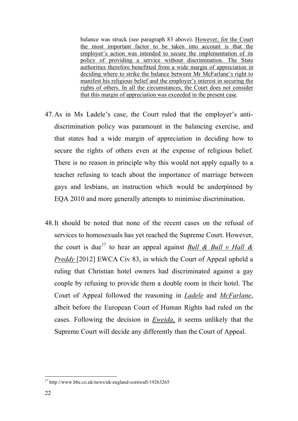balance was struck (see paragraph 83 above). However, for the Court the most important factor to be taken into account is that the employer's action was intended to secure the implementation of its policy of providing a service without discrimination. The State authorities therefore benefitted from a wide margin of appreciation in deciding where to strike the balance between Mr McFarlane's right to manifest his religious belief and the employer's interest in securing the rights of others. In all the circumstances, the Court does not consider that this margin of appreciation was exceeded in the present case.

- 47.As in Ms Ladele's case, the Court ruled that the employer's antidiscrimination policy was paramount in the balancing exercise, and that states had a wide margin of appreciation in deciding how to secure the rights of others even at the expense of religious belief. There is no reason in principle why this would not apply equally to a teacher refusing to teach about the importance of marriage between gays and lesbians, an instruction which would be underpinned by EQA 2010 and more generally attempts to minimise discrimination.
- 48.It should be noted that none of the recent cases on the refusal of services to homosexuals has yet reached the Supreme Court. However, the court is due<sup>17</sup> to hear an appeal against <u>Bull & Bull v Hall &</u> *Preddy* [2012] EWCA Civ 83, in which the Court of Appeal upheld a ruling that Christian hotel owners had discriminated against a gay couple by refusing to provide them a double room in their hotel. The Court of Appeal followed the reasoning in *Ladele* and *McFarlane*, albeit before the European Court of Human Rights had ruled on the cases. Following the decision in *Eweida*, it seems unlikely that the Supreme Court will decide any differently than the Court of Appeal.

 <sup>17</sup> http://www.bbc.co.uk/news/uk-england-cornwall-19263265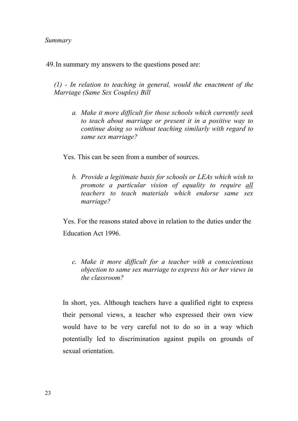49.In summary my answers to the questions posed are:

*(1) - In relation to teaching in general, would the enactment of the Marriage (Same Sex Couples) Bill*

*a. Make it more difficult for those schools which currently seek to teach about marriage or present it in a positive way to continue doing so without teaching similarly with regard to same sex marriage?*

Yes. This can be seen from a number of sources.

*b. Provide a legitimate basis for schools or LEAs which wish to promote a particular vision of equality to require all teachers to teach materials which endorse same sex marriage?*

Yes. For the reasons stated above in relation to the duties under the Education Act 1996.

*c. Make it more difficult for a teacher with a conscientious objection to same sex marriage to express his or her views in the classroom?*

In short, yes. Although teachers have a qualified right to express their personal views, a teacher who expressed their own view would have to be very careful not to do so in a way which potentially led to discrimination against pupils on grounds of sexual orientation.